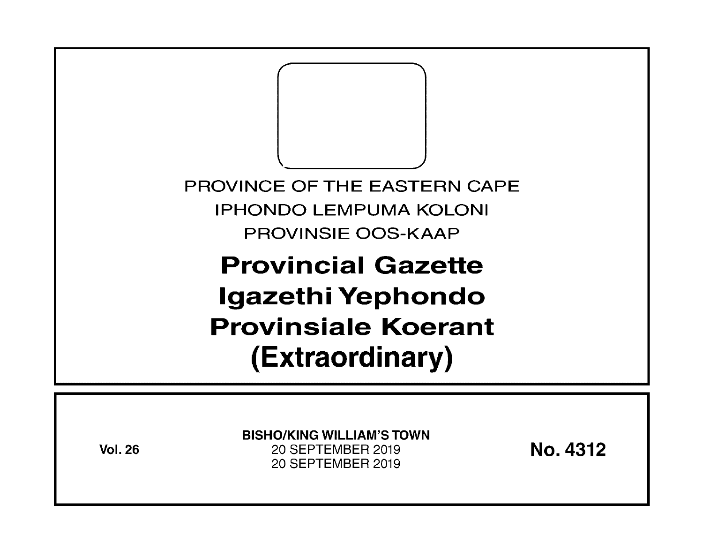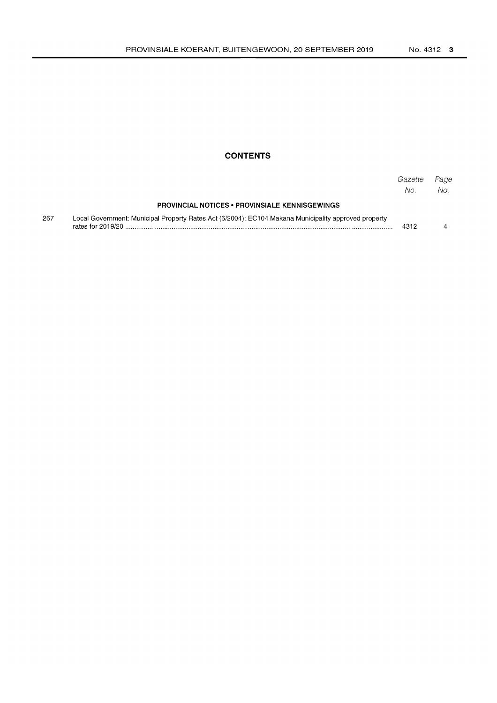## **CONTENTS**

|     |                                                                                                                           | Gazette<br>No. | Page<br>No. |
|-----|---------------------------------------------------------------------------------------------------------------------------|----------------|-------------|
|     | <b>PROVINCIAL NOTICES • PROVINSIALE KENNISGEWINGS</b>                                                                     |                |             |
| 267 | Local Government: Municipal Property Rates Act (6/2004): EC104 Makana Municipality approved property<br>rates for 2019/20 | 4312           |             |